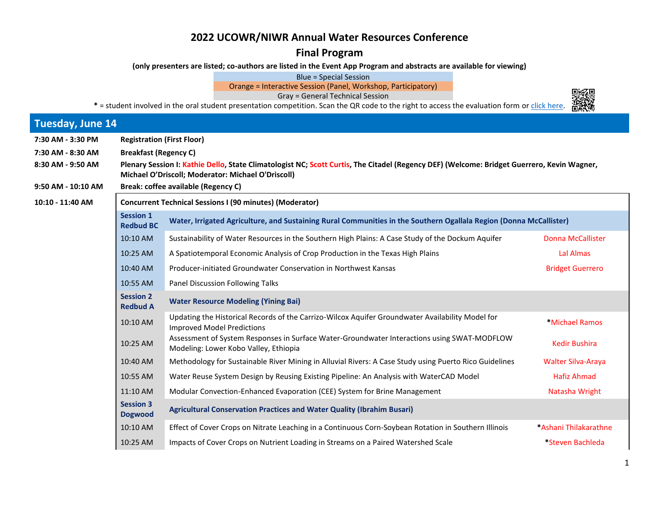## **2022 UCOWR/NIWR Annual Water Resources Conference**

**Final Program** 

**(only presenters are listed; co-authors are listed in the Event App Program and abstracts are available for viewing)** 

Blue = Special Session

Orange = Interactive Session (Panel, Workshop, Participatory)

Gray = General Technical Session

\* = student involved in the oral student presentation competition. Scan the QR code to the right to access the evaluation form or [click here.](https://forms.office.com/r/HfkUL649nB) 出线

| <b>Tuesday, June 14</b> |                                                                                                                                                                                                  |                                                                                                                                       |                           |  |
|-------------------------|--------------------------------------------------------------------------------------------------------------------------------------------------------------------------------------------------|---------------------------------------------------------------------------------------------------------------------------------------|---------------------------|--|
| 7:30 AM - 3:30 PM       | <b>Registration (First Floor)</b>                                                                                                                                                                |                                                                                                                                       |                           |  |
| 7:30 AM - 8:30 AM       | <b>Breakfast (Regency C)</b>                                                                                                                                                                     |                                                                                                                                       |                           |  |
| 8:30 AM - 9:50 AM       | Plenary Session I: Kathie Dello, State Climatologist NC; Scott Curtis, The Citadel (Regency DEF) (Welcome: Bridget Guerrero, Kevin Wagner,<br>Michael O'Driscoll; Moderator: Michael O'Driscoll) |                                                                                                                                       |                           |  |
| 9:50 AM - 10:10 AM      | Break: coffee available (Regency C)                                                                                                                                                              |                                                                                                                                       |                           |  |
| 10:10 - 11:40 AM        | <b>Concurrent Technical Sessions I (90 minutes) (Moderator)</b>                                                                                                                                  |                                                                                                                                       |                           |  |
|                         | <b>Session 1</b><br><b>Redbud BC</b>                                                                                                                                                             | Water, Irrigated Agriculture, and Sustaining Rural Communities in the Southern Ogallala Region (Donna McCallister)                    |                           |  |
|                         | 10:10 AM                                                                                                                                                                                         | Sustainability of Water Resources in the Southern High Plains: A Case Study of the Dockum Aquifer                                     | <b>Donna McCallister</b>  |  |
|                         | 10:25 AM                                                                                                                                                                                         | A Spatiotemporal Economic Analysis of Crop Production in the Texas High Plains                                                        | Lal Almas                 |  |
|                         | 10:40 AM                                                                                                                                                                                         | Producer-initiated Groundwater Conservation in Northwest Kansas                                                                       | <b>Bridget Guerrero</b>   |  |
|                         | 10:55 AM                                                                                                                                                                                         | Panel Discussion Following Talks                                                                                                      |                           |  |
|                         | <b>Session 2</b><br><b>Redbud A</b>                                                                                                                                                              | <b>Water Resource Modeling (Yining Bai)</b>                                                                                           |                           |  |
|                         | 10:10 AM                                                                                                                                                                                         | Updating the Historical Records of the Carrizo-Wilcox Aquifer Groundwater Availability Model for<br><b>Improved Model Predictions</b> | *Michael Ramos            |  |
|                         | 10:25 AM                                                                                                                                                                                         | Assessment of System Responses in Surface Water-Groundwater Interactions using SWAT-MODFLOW<br>Modeling: Lower Kobo Valley, Ethiopia  | <b>Kedir Bushira</b>      |  |
|                         | 10:40 AM                                                                                                                                                                                         | Methodology for Sustainable River Mining in Alluvial Rivers: A Case Study using Puerto Rico Guidelines                                | <b>Walter Silva-Araya</b> |  |
|                         | 10:55 AM                                                                                                                                                                                         | Water Reuse System Design by Reusing Existing Pipeline: An Analysis with WaterCAD Model                                               | <b>Hafiz Ahmad</b>        |  |
|                         | 11:10 AM                                                                                                                                                                                         | Modular Convection-Enhanced Evaporation (CEE) System for Brine Management                                                             | Natasha Wright            |  |
|                         | <b>Session 3</b><br><b>Dogwood</b>                                                                                                                                                               | Agricultural Conservation Practices and Water Quality (Ibrahim Busari)                                                                |                           |  |
|                         | 10:10 AM                                                                                                                                                                                         | Effect of Cover Crops on Nitrate Leaching in a Continuous Corn-Soybean Rotation in Southern Illinois                                  | *Ashani Thilakarathne     |  |
|                         | 10:25 AM                                                                                                                                                                                         | Impacts of Cover Crops on Nutrient Loading in Streams on a Paired Watershed Scale                                                     | *Steven Bachleda          |  |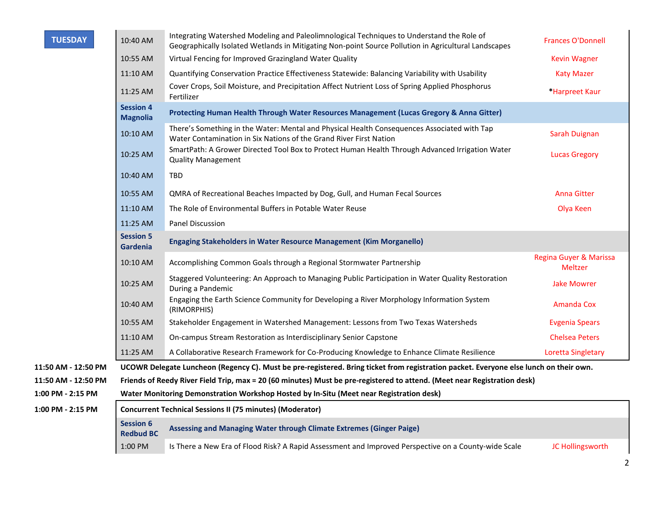| <b>TUESDAY</b>      | 10:40 AM                             | Integrating Watershed Modeling and Paleolimnological Techniques to Understand the Role of<br>Geographically Isolated Wetlands in Mitigating Non-point Source Pollution in Agricultural Landscapes | <b>Frances O'Donnell</b>          |
|---------------------|--------------------------------------|---------------------------------------------------------------------------------------------------------------------------------------------------------------------------------------------------|-----------------------------------|
|                     | 10:55 AM                             | Virtual Fencing for Improved Grazingland Water Quality                                                                                                                                            | Kevin Wagner                      |
|                     | 11:10 AM                             | Quantifying Conservation Practice Effectiveness Statewide: Balancing Variability with Usability                                                                                                   | <b>Katy Mazer</b>                 |
|                     | 11:25 AM                             | Cover Crops, Soil Moisture, and Precipitation Affect Nutrient Loss of Spring Applied Phosphorus<br>Fertilizer                                                                                     | *Harpreet Kaur                    |
|                     | <b>Session 4</b><br><b>Magnolia</b>  | Protecting Human Health Through Water Resources Management (Lucas Gregory & Anna Gitter)                                                                                                          |                                   |
|                     | 10:10 AM                             | There's Something in the Water: Mental and Physical Health Consequences Associated with Tap<br>Water Contamination in Six Nations of the Grand River First Nation                                 | Sarah Duignan                     |
|                     | 10:25 AM                             | SmartPath: A Grower Directed Tool Box to Protect Human Health Through Advanced Irrigation Water<br><b>Quality Management</b>                                                                      | <b>Lucas Gregory</b>              |
|                     | 10:40 AM                             | TBD                                                                                                                                                                                               |                                   |
|                     | 10:55 AM                             | QMRA of Recreational Beaches Impacted by Dog, Gull, and Human Fecal Sources                                                                                                                       | <b>Anna Gitter</b>                |
|                     | 11:10 AM                             | The Role of Environmental Buffers in Potable Water Reuse                                                                                                                                          | Olya Keen                         |
|                     | 11:25 AM                             | <b>Panel Discussion</b>                                                                                                                                                                           |                                   |
|                     | <b>Session 5</b><br>Gardenia         | <b>Engaging Stakeholders in Water Resource Management (Kim Morganello)</b>                                                                                                                        |                                   |
|                     | 10:10 AM                             | Accomplishing Common Goals through a Regional Stormwater Partnership                                                                                                                              | Regina Guyer & Marissa<br>Meltzer |
|                     | 10:25 AM                             | Staggered Volunteering: An Approach to Managing Public Participation in Water Quality Restoration<br>During a Pandemic                                                                            | <b>Jake Mowrer</b>                |
|                     | 10:40 AM                             | Engaging the Earth Science Community for Developing a River Morphology Information System<br>(RIMORPHIS)                                                                                          | <b>Amanda Cox</b>                 |
|                     | 10:55 AM                             | Stakeholder Engagement in Watershed Management: Lessons from Two Texas Watersheds                                                                                                                 | Evgenia Spears                    |
|                     | 11:10 AM                             | On-campus Stream Restoration as Interdisciplinary Senior Capstone                                                                                                                                 | <b>Chelsea Peters</b>             |
|                     | 11:25 AM                             | A Collaborative Research Framework for Co-Producing Knowledge to Enhance Climate Resilience                                                                                                       | <b>Loretta Singletary</b>         |
| 11:50 AM - 12:50 PM |                                      | UCOWR Delegate Luncheon (Regency C). Must be pre-registered. Bring ticket from registration packet. Everyone else lunch on their own.                                                             |                                   |
| 11:50 AM - 12:50 PM |                                      | Friends of Reedy River Field Trip, max = 20 (60 minutes) Must be pre-registered to attend. (Meet near Registration desk)                                                                          |                                   |
| 1:00 PM - 2:15 PM   |                                      | Water Monitoring Demonstration Workshop Hosted by In-Situ (Meet near Registration desk)                                                                                                           |                                   |
| 1:00 PM - 2:15 PM   |                                      | <b>Concurrent Technical Sessions II (75 minutes) (Moderator)</b>                                                                                                                                  |                                   |
|                     | <b>Session 6</b><br><b>Redbud BC</b> | Assessing and Managing Water through Climate Extremes (Ginger Paige)                                                                                                                              |                                   |
|                     | 1:00 PM                              | Is There a New Era of Flood Risk? A Rapid Assessment and Improved Perspective on a County-wide Scale                                                                                              | JC Hollingsworth                  |

2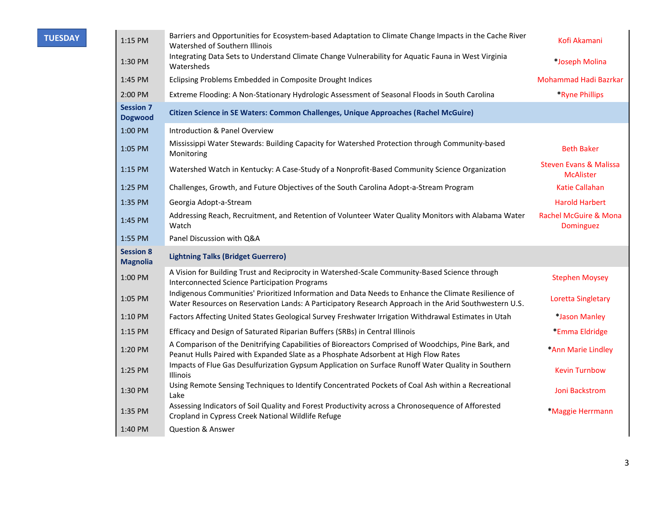| TUESDAY |
|---------|
|         |

| 1:15 PM                             | Barriers and Opportunities for Ecosystem-based Adaptation to Climate Change Impacts in the Cache River<br>Watershed of Southern Illinois                                                                     | Kofi Akamani                                          |
|-------------------------------------|--------------------------------------------------------------------------------------------------------------------------------------------------------------------------------------------------------------|-------------------------------------------------------|
| 1:30 PM                             | Integrating Data Sets to Understand Climate Change Vulnerability for Aquatic Fauna in West Virginia<br>Watersheds                                                                                            | *Joseph Molina                                        |
| 1:45 PM                             | Eclipsing Problems Embedded in Composite Drought Indices                                                                                                                                                     | Mohammad Hadi Bazrkar                                 |
| 2:00 PM                             | Extreme Flooding: A Non-Stationary Hydrologic Assessment of Seasonal Floods in South Carolina                                                                                                                | *Ryne Phillips                                        |
| <b>Session 7</b><br><b>Dogwood</b>  | Citizen Science in SE Waters: Common Challenges, Unique Approaches (Rachel McGuire)                                                                                                                          |                                                       |
| 1:00 PM                             | Introduction & Panel Overview                                                                                                                                                                                |                                                       |
| 1:05 PM                             | Mississippi Water Stewards: Building Capacity for Watershed Protection through Community-based<br>Monitoring                                                                                                 | <b>Beth Baker</b>                                     |
| 1:15 PM                             | Watershed Watch in Kentucky: A Case-Study of a Nonprofit-Based Community Science Organization                                                                                                                | <b>Steven Evans &amp; Malissa</b><br><b>McAlister</b> |
| 1:25 PM                             | Challenges, Growth, and Future Objectives of the South Carolina Adopt-a-Stream Program                                                                                                                       | <b>Katie Callahan</b>                                 |
| 1:35 PM                             | Georgia Adopt-a-Stream                                                                                                                                                                                       | <b>Harold Harbert</b>                                 |
| 1:45 PM                             | Addressing Reach, Recruitment, and Retention of Volunteer Water Quality Monitors with Alabama Water<br>Watch                                                                                                 | <b>Rachel McGuire &amp; Mona</b><br><b>Dominguez</b>  |
| 1:55 PM                             | Panel Discussion with Q&A                                                                                                                                                                                    |                                                       |
| <b>Session 8</b><br><b>Magnolia</b> | <b>Lightning Talks (Bridget Guerrero)</b>                                                                                                                                                                    |                                                       |
| 1:00 PM                             | A Vision for Building Trust and Reciprocity in Watershed-Scale Community-Based Science through<br><b>Interconnected Science Participation Programs</b>                                                       | <b>Stephen Moysey</b>                                 |
| 1:05 PM                             | Indigenous Communities' Prioritized Information and Data Needs to Enhance the Climate Resilience of<br>Water Resources on Reservation Lands: A Participatory Research Approach in the Arid Southwestern U.S. | <b>Loretta Singletary</b>                             |
| 1:10 PM                             | Factors Affecting United States Geological Survey Freshwater Irrigation Withdrawal Estimates in Utah                                                                                                         | *Jason Manley                                         |
| 1:15 PM                             | Efficacy and Design of Saturated Riparian Buffers (SRBs) in Central Illinois                                                                                                                                 | *Emma Eldridge                                        |
| 1:20 PM                             | A Comparison of the Denitrifying Capabilities of Bioreactors Comprised of Woodchips, Pine Bark, and<br>Peanut Hulls Paired with Expanded Slate as a Phosphate Adsorbent at High Flow Rates                   | *Ann Marie Lindley                                    |
| 1:25 PM                             | Impacts of Flue Gas Desulfurization Gypsum Application on Surface Runoff Water Quality in Southern<br><b>Illinois</b>                                                                                        | <b>Kevin Turnbow</b>                                  |
| 1:30 PM                             | Using Remote Sensing Techniques to Identify Concentrated Pockets of Coal Ash within a Recreational<br>Lake                                                                                                   | Joni Backstrom                                        |
| 1:35 PM                             | Assessing Indicators of Soil Quality and Forest Productivity across a Chronosequence of Afforested<br>Cropland in Cypress Creek National Wildlife Refuge                                                     | *Maggie Herrmann                                      |
| 1:40 PM                             | <b>Question &amp; Answer</b>                                                                                                                                                                                 |                                                       |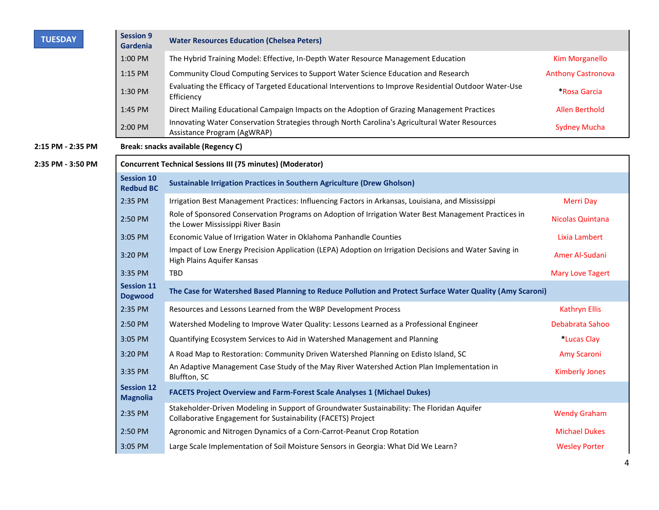| <b>TUESDAY</b>    | <b>Session 9</b><br><b>Gardenia</b>   | <b>Water Resources Education (Chelsea Peters)</b>                                                                                                          |                           |
|-------------------|---------------------------------------|------------------------------------------------------------------------------------------------------------------------------------------------------------|---------------------------|
|                   | 1:00 PM                               | The Hybrid Training Model: Effective, In-Depth Water Resource Management Education                                                                         | <b>Kim Morganello</b>     |
|                   | $1:15$ PM                             | Community Cloud Computing Services to Support Water Science Education and Research                                                                         | <b>Anthony Castronova</b> |
|                   | 1:30 PM                               | Evaluating the Efficacy of Targeted Educational Interventions to Improve Residential Outdoor Water-Use<br>Efficiency                                       | *Rosa Garcia              |
|                   | 1:45 PM                               | Direct Mailing Educational Campaign Impacts on the Adoption of Grazing Management Practices                                                                | Allen Berthold            |
|                   | 2:00 PM                               | Innovating Water Conservation Strategies through North Carolina's Agricultural Water Resources<br>Assistance Program (AgWRAP)                              | <b>Sydney Mucha</b>       |
| 2:15 PM - 2:35 PM |                                       | Break: snacks available (Regency C)                                                                                                                        |                           |
| 2:35 PM - 3:50 PM |                                       | <b>Concurrent Technical Sessions III (75 minutes) (Moderator)</b>                                                                                          |                           |
|                   | <b>Session 10</b><br><b>Redbud BC</b> | <b>Sustainable Irrigation Practices in Southern Agriculture (Drew Gholson)</b>                                                                             |                           |
|                   | 2:35 PM                               | Irrigation Best Management Practices: Influencing Factors in Arkansas, Louisiana, and Mississippi                                                          | <b>Merri Day</b>          |
|                   | 2:50 PM                               | Role of Sponsored Conservation Programs on Adoption of Irrigation Water Best Management Practices in<br>the Lower Mississippi River Basin                  | <b>Nicolas Quintana</b>   |
|                   | 3:05 PM                               | Economic Value of Irrigation Water in Oklahoma Panhandle Counties                                                                                          | Lixia Lambert             |
|                   | 3:20 PM                               | Impact of Low Energy Precision Application (LEPA) Adoption on Irrigation Decisions and Water Saving in<br>High Plains Aquifer Kansas                       | Amer Al-Sudani            |
|                   | 3:35 PM                               | <b>TBD</b>                                                                                                                                                 | <b>Mary Love Tagert</b>   |
|                   | <b>Session 11</b><br><b>Dogwood</b>   | The Case for Watershed Based Planning to Reduce Pollution and Protect Surface Water Quality (Amy Scaroni)                                                  |                           |
|                   | 2:35 PM                               | Resources and Lessons Learned from the WBP Development Process                                                                                             | <b>Kathryn Ellis</b>      |
|                   | 2:50 PM                               | Watershed Modeling to Improve Water Quality: Lessons Learned as a Professional Engineer                                                                    | Debabrata Sahoo           |
|                   | 3:05 PM                               | Quantifying Ecosystem Services to Aid in Watershed Management and Planning                                                                                 | *Lucas Clay               |
|                   | 3:20 PM                               | A Road Map to Restoration: Community Driven Watershed Planning on Edisto Island, SC                                                                        | <b>Amy Scaroni</b>        |
|                   | 3:35 PM                               | An Adaptive Management Case Study of the May River Watershed Action Plan Implementation in<br>Bluffton, SC                                                 | <b>Kimberly Jones</b>     |
|                   | <b>Session 12</b><br><b>Magnolia</b>  | <b>FACETS Project Overview and Farm-Forest Scale Analyses 1 (Michael Dukes)</b>                                                                            |                           |
|                   | 2:35 PM                               | Stakeholder-Driven Modeling in Support of Groundwater Sustainability: The Floridan Aquifer<br>Collaborative Engagement for Sustainability (FACETS) Project | <b>Wendy Graham</b>       |
|                   | 2:50 PM                               | Agronomic and Nitrogen Dynamics of a Corn-Carrot-Peanut Crop Rotation                                                                                      | <b>Michael Dukes</b>      |
|                   | 3:05 PM                               | Large Scale Implementation of Soil Moisture Sensors in Georgia: What Did We Learn?                                                                         | <b>Wesley Porter</b>      |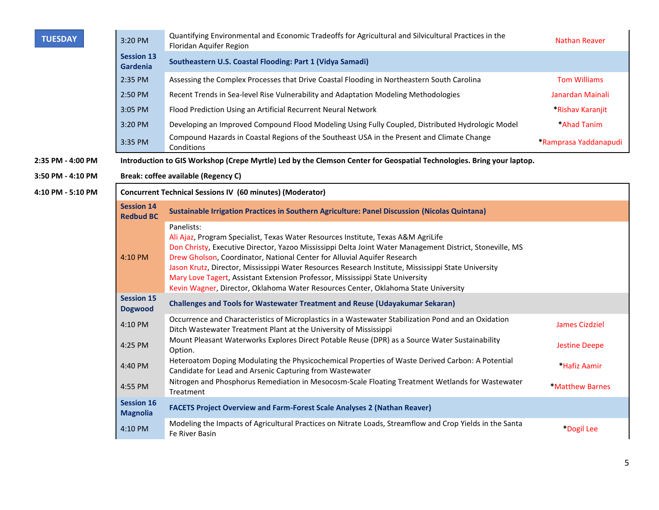| <b>TUESDAY</b>    | 3:20 PM                                                          | Quantifying Environmental and Economic Tradeoffs for Agricultural and Silvicultural Practices in the<br>Floridan Aquifer Region                                                                                                                                                                                                                                                                                                                                                                                                                                       | <b>Nathan Reaver</b>  |
|-------------------|------------------------------------------------------------------|-----------------------------------------------------------------------------------------------------------------------------------------------------------------------------------------------------------------------------------------------------------------------------------------------------------------------------------------------------------------------------------------------------------------------------------------------------------------------------------------------------------------------------------------------------------------------|-----------------------|
|                   | <b>Session 13</b><br><b>Gardenia</b>                             | Southeastern U.S. Coastal Flooding: Part 1 (Vidya Samadi)                                                                                                                                                                                                                                                                                                                                                                                                                                                                                                             |                       |
|                   | 2:35 PM                                                          | Assessing the Complex Processes that Drive Coastal Flooding in Northeastern South Carolina                                                                                                                                                                                                                                                                                                                                                                                                                                                                            | <b>Tom Williams</b>   |
|                   | 2:50 PM                                                          | Recent Trends in Sea-level Rise Vulnerability and Adaptation Modeling Methodologies                                                                                                                                                                                                                                                                                                                                                                                                                                                                                   | Janardan Mainali      |
|                   | 3:05 PM                                                          | Flood Prediction Using an Artificial Recurrent Neural Network                                                                                                                                                                                                                                                                                                                                                                                                                                                                                                         | *Rishav Karanjit      |
|                   | 3:20 PM                                                          | Developing an Improved Compound Flood Modeling Using Fully Coupled, Distributed Hydrologic Model                                                                                                                                                                                                                                                                                                                                                                                                                                                                      | <b>Ahad Tanim</b>     |
|                   | 3:35 PM                                                          | Compound Hazards in Coastal Regions of the Southeast USA in the Present and Climate Change<br>Conditions                                                                                                                                                                                                                                                                                                                                                                                                                                                              | *Ramprasa Yaddanapudi |
| 2:35 PM - 4:00 PM |                                                                  | Introduction to GIS Workshop (Crepe Myrtle) Led by the Clemson Center for Geospatial Technologies. Bring your laptop.                                                                                                                                                                                                                                                                                                                                                                                                                                                 |                       |
| 3:50 PM - 4:10 PM |                                                                  | Break: coffee available (Regency C)                                                                                                                                                                                                                                                                                                                                                                                                                                                                                                                                   |                       |
| 4:10 PM - 5:10 PM | <b>Concurrent Technical Sessions IV (60 minutes) (Moderator)</b> |                                                                                                                                                                                                                                                                                                                                                                                                                                                                                                                                                                       |                       |
|                   | <b>Session 14</b><br><b>Redbud BC</b>                            | Sustainable Irrigation Practices in Southern Agriculture: Panel Discussion (Nicolas Quintana)                                                                                                                                                                                                                                                                                                                                                                                                                                                                         |                       |
|                   | 4:10 PM                                                          | Panelists:<br>Ali Ajaz, Program Specialist, Texas Water Resources Institute, Texas A&M AgriLife<br>Don Christy, Executive Director, Yazoo Mississippi Delta Joint Water Management District, Stoneville, MS<br>Drew Gholson, Coordinator, National Center for Alluvial Aquifer Research<br>Jason Krutz, Director, Mississippi Water Resources Research Institute, Mississippi State University<br>Mary Love Tagert, Assistant Extension Professor, Mississippi State University<br>Kevin Wagner, Director, Oklahoma Water Resources Center, Oklahoma State University |                       |
|                   | <b>Session 15</b><br><b>Dogwood</b>                              | <b>Challenges and Tools for Wastewater Treatment and Reuse (Udayakumar Sekaran)</b>                                                                                                                                                                                                                                                                                                                                                                                                                                                                                   |                       |
|                   | 4:10 PM                                                          | Occurrence and Characteristics of Microplastics in a Wastewater Stabilization Pond and an Oxidation<br>Ditch Wastewater Treatment Plant at the University of Mississippi                                                                                                                                                                                                                                                                                                                                                                                              | <b>James Cizdziel</b> |
|                   | 4:25 PM                                                          | Mount Pleasant Waterworks Explores Direct Potable Reuse (DPR) as a Source Water Sustainability<br>Option.                                                                                                                                                                                                                                                                                                                                                                                                                                                             | <b>Jestine Deepe</b>  |
|                   | 4:40 PM                                                          | Heteroatom Doping Modulating the Physicochemical Properties of Waste Derived Carbon: A Potential<br>Candidate for Lead and Arsenic Capturing from Wastewater                                                                                                                                                                                                                                                                                                                                                                                                          | <b>Hafiz Aamir</b>    |
|                   | 4:55 PM                                                          | Nitrogen and Phosphorus Remediation in Mesocosm-Scale Floating Treatment Wetlands for Wastewater<br>Treatment                                                                                                                                                                                                                                                                                                                                                                                                                                                         | *Matthew Barnes       |
|                   | <b>Session 16</b><br><b>Magnolia</b>                             | <b>FACETS Project Overview and Farm-Forest Scale Analyses 2 (Nathan Reaver)</b>                                                                                                                                                                                                                                                                                                                                                                                                                                                                                       |                       |
|                   | 4:10 PM                                                          | Modeling the Impacts of Agricultural Practices on Nitrate Loads, Streamflow and Crop Yields in the Santa<br>Fe River Basin                                                                                                                                                                                                                                                                                                                                                                                                                                            | *Dogil Lee            |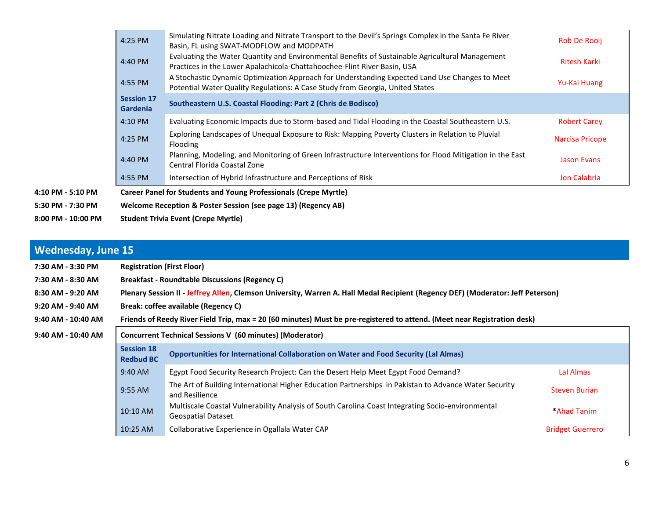| $8:00$ PM - 10:00 PM |                                                               | <b>Student Trivia Event (Crepe Myrtle)</b>                                                                                                                                      |                     |
|----------------------|---------------------------------------------------------------|---------------------------------------------------------------------------------------------------------------------------------------------------------------------------------|---------------------|
| 5:30 PM - 7:30 PM    | Welcome Reception & Poster Session (see page 13) (Regency AB) |                                                                                                                                                                                 |                     |
| 4:10 PM - 5:10 PM    |                                                               | <b>Career Panel for Students and Young Professionals (Crepe Myrtle)</b>                                                                                                         |                     |
|                      | 4:55 PM                                                       | Intersection of Hybrid Infrastructure and Perceptions of Risk                                                                                                                   | Jon Calabria        |
|                      | 4:40 PM                                                       | Planning, Modeling, and Monitoring of Green Infrastructure Interventions for Flood Mitigation in the East<br>Central Florida Coastal Zone                                       | <b>Jason Evans</b>  |
|                      | 4:25 PM                                                       | Exploring Landscapes of Unequal Exposure to Risk: Mapping Poverty Clusters in Relation to Pluvial<br>Flooding                                                                   | Narcisa Pricope     |
|                      | 4:10 PM                                                       | Evaluating Economic Impacts due to Storm-based and Tidal Flooding in the Coastal Southeastern U.S.                                                                              | <b>Robert Carey</b> |
|                      | <b>Session 17</b><br><b>Gardenia</b>                          | Southeastern U.S. Coastal Flooding: Part 2 (Chris de Bodisco)                                                                                                                   |                     |
|                      | 4:55 PM                                                       | A Stochastic Dynamic Optimization Approach for Understanding Expected Land Use Changes to Meet<br>Potential Water Quality Regulations: A Case Study from Georgia, United States | Yu-Kai Huang        |
|                      | 4:40 PM                                                       | Evaluating the Water Quantity and Environmental Benefits of Sustainable Agricultural Management<br>Practices in the Lower Apalachicola-Chattahoochee-Flint River Basin, USA     | <b>Ritesh Karki</b> |
|                      | 4:25 PM                                                       | Simulating Nitrate Loading and Nitrate Transport to the Devil's Springs Complex in the Santa Fe River<br>Basin, FL using SWAT-MODFLOW and MODPATH                               | Rob De Rooij        |

## **Wednesday, June 15**

| 7:30 AM - 3:30 PM  | <b>Registration (First Floor)</b>                               |                                                                                                                                 |                         |  |  |  |
|--------------------|-----------------------------------------------------------------|---------------------------------------------------------------------------------------------------------------------------------|-------------------------|--|--|--|
| 7:30 AM - 8:30 AM  | <b>Breakfast - Roundtable Discussions (Regency C)</b>           |                                                                                                                                 |                         |  |  |  |
| 8:30 AM - 9:20 AM  |                                                                 | Plenary Session II - Jeffrey Allen, Clemson University, Warren A. Hall Medal Recipient (Regency DEF) (Moderator: Jeff Peterson) |                         |  |  |  |
| 9:20 AM - 9:40 AM  |                                                                 | Break: coffee available (Regency C)                                                                                             |                         |  |  |  |
| 9:40 AM - 10:40 AM |                                                                 | Friends of Reedy River Field Trip, max = 20 (60 minutes) Must be pre-registered to attend. (Meet near Registration desk)        |                         |  |  |  |
| 9:40 AM - 10:40 AM | <b>Concurrent Technical Sessions V (60 minutes) (Moderator)</b> |                                                                                                                                 |                         |  |  |  |
|                    | <b>Session 18</b><br><b>Redbud BC</b>                           | <b>Opportunities for International Collaboration on Water and Food Security (Lal Almas)</b>                                     |                         |  |  |  |
|                    | 9:40 AM                                                         | Egypt Food Security Research Project: Can the Desert Help Meet Egypt Food Demand?                                               | Lal Almas               |  |  |  |
|                    | 9:55 AM                                                         | The Art of Building International Higher Education Partnerships in Pakistan to Advance Water Security<br>and Resilience         | <b>Steven Burian</b>    |  |  |  |
|                    | 10:10 AM                                                        | Multiscale Coastal Vulnerability Analysis of South Carolina Coast Integrating Socio-environmental<br><b>Geospatial Dataset</b>  | <b>Ahad Tanim</b>       |  |  |  |
|                    | 10:25 AM                                                        | Collaborative Experience in Ogallala Water CAP                                                                                  | <b>Bridget Guerrero</b> |  |  |  |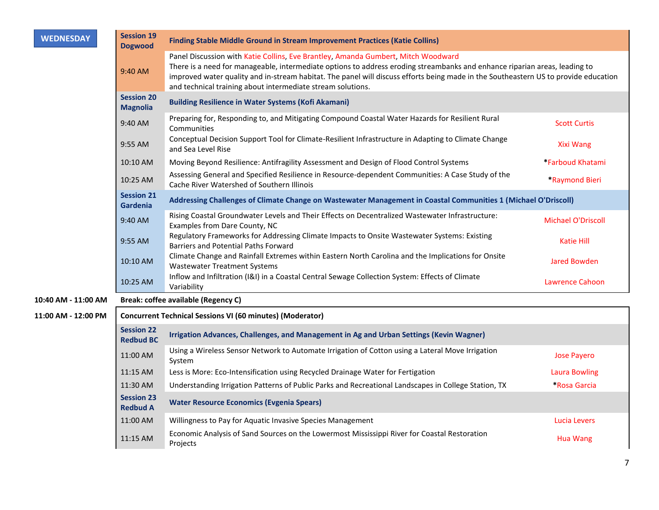| <b>WEDNESDAY</b>    | <b>Session 19</b><br><b>Dogwood</b>   | <b>Finding Stable Middle Ground in Stream Improvement Practices (Katie Collins)</b>                                                                                                                                                                                                                                                                                                                                   |                           |
|---------------------|---------------------------------------|-----------------------------------------------------------------------------------------------------------------------------------------------------------------------------------------------------------------------------------------------------------------------------------------------------------------------------------------------------------------------------------------------------------------------|---------------------------|
|                     | 9:40 AM                               | Panel Discussion with Katie Collins, Eve Brantley, Amanda Gumbert, Mitch Woodward<br>There is a need for manageable, intermediate options to address eroding streambanks and enhance riparian areas, leading to<br>improved water quality and in-stream habitat. The panel will discuss efforts being made in the Southeastern US to provide education<br>and technical training about intermediate stream solutions. |                           |
|                     | <b>Session 20</b><br><b>Magnolia</b>  | <b>Building Resilience in Water Systems (Kofi Akamani)</b>                                                                                                                                                                                                                                                                                                                                                            |                           |
|                     | 9:40 AM                               | Preparing for, Responding to, and Mitigating Compound Coastal Water Hazards for Resilient Rural<br>Communities                                                                                                                                                                                                                                                                                                        | <b>Scott Curtis</b>       |
|                     | 9:55 AM                               | Conceptual Decision Support Tool for Climate-Resilient Infrastructure in Adapting to Climate Change<br>and Sea Level Rise                                                                                                                                                                                                                                                                                             | <b>Xixi Wang</b>          |
|                     | 10:10 AM                              | Moving Beyond Resilience: Antifragility Assessment and Design of Flood Control Systems                                                                                                                                                                                                                                                                                                                                | *Farboud Khatami          |
|                     | 10:25 AM                              | Assessing General and Specified Resilience in Resource-dependent Communities: A Case Study of the<br>Cache River Watershed of Southern Illinois                                                                                                                                                                                                                                                                       | *Raymond Bieri            |
|                     | <b>Session 21</b><br>Gardenia         | Addressing Challenges of Climate Change on Wastewater Management in Coastal Communities 1 (Michael O'Driscoll)                                                                                                                                                                                                                                                                                                        |                           |
|                     | 9:40 AM                               | Rising Coastal Groundwater Levels and Their Effects on Decentralized Wastewater Infrastructure:<br>Examples from Dare County, NC                                                                                                                                                                                                                                                                                      | <b>Michael O'Driscoll</b> |
|                     | 9:55 AM                               | Regulatory Frameworks for Addressing Climate Impacts to Onsite Wastewater Systems: Existing<br>Barriers and Potential Paths Forward                                                                                                                                                                                                                                                                                   | <b>Katie Hill</b>         |
|                     | 10:10 AM                              | Climate Change and Rainfall Extremes within Eastern North Carolina and the Implications for Onsite<br><b>Wastewater Treatment Systems</b>                                                                                                                                                                                                                                                                             | <b>Jared Bowden</b>       |
|                     | 10:25 AM                              | Inflow and Infiltration (I&I) in a Coastal Central Sewage Collection System: Effects of Climate<br>Variability                                                                                                                                                                                                                                                                                                        | Lawrence Cahoon           |
| 10:40 AM - 11:00 AM |                                       | <b>Break: coffee available (Regency C)</b>                                                                                                                                                                                                                                                                                                                                                                            |                           |
| 11:00 AM - 12:00 PM |                                       | <b>Concurrent Technical Sessions VI (60 minutes) (Moderator)</b>                                                                                                                                                                                                                                                                                                                                                      |                           |
|                     | <b>Session 22</b><br><b>Redbud BC</b> | Irrigation Advances, Challenges, and Management in Ag and Urban Settings (Kevin Wagner)                                                                                                                                                                                                                                                                                                                               |                           |
|                     | 11:00 AM                              | Using a Wireless Sensor Network to Automate Irrigation of Cotton using a Lateral Move Irrigation<br>System                                                                                                                                                                                                                                                                                                            | <b>Jose Payero</b>        |
|                     | 11:15 AM                              | Less is More: Eco-Intensification using Recycled Drainage Water for Fertigation                                                                                                                                                                                                                                                                                                                                       | <b>Laura Bowling</b>      |
|                     | 11:30 AM                              | Understanding Irrigation Patterns of Public Parks and Recreational Landscapes in College Station, TX                                                                                                                                                                                                                                                                                                                  | *Rosa Garcia              |
|                     | <b>Session 23</b><br><b>Redbud A</b>  | <b>Water Resource Economics (Evgenia Spears)</b>                                                                                                                                                                                                                                                                                                                                                                      |                           |
|                     | 11:00 AM                              | Willingness to Pay for Aquatic Invasive Species Management                                                                                                                                                                                                                                                                                                                                                            | Lucia Levers              |
|                     | 11:15 AM                              | Economic Analysis of Sand Sources on the Lowermost Mississippi River for Coastal Restoration<br>Projects                                                                                                                                                                                                                                                                                                              | Hua Wang                  |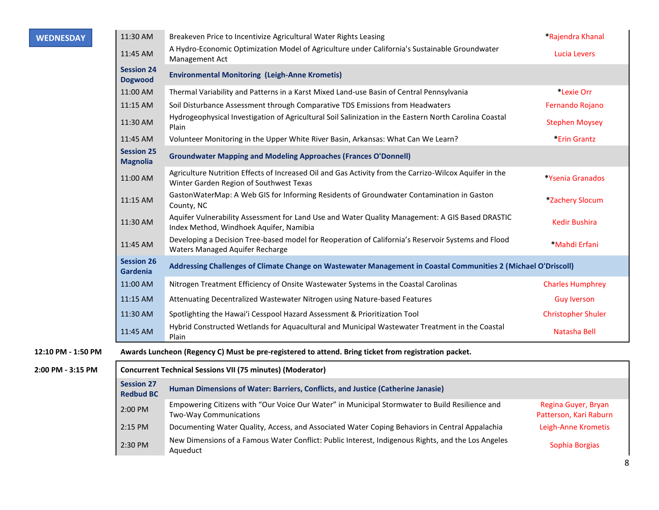| <b>WEDNESDAY</b>   | 11:30 AM                              | Breakeven Price to Incentivize Agricultural Water Rights Leasing                                                                                  | *Rajendra Khanal                              |
|--------------------|---------------------------------------|---------------------------------------------------------------------------------------------------------------------------------------------------|-----------------------------------------------|
|                    | 11:45 AM                              | A Hydro-Economic Optimization Model of Agriculture under California's Sustainable Groundwater<br>Management Act                                   | Lucia Levers                                  |
|                    | <b>Session 24</b><br><b>Dogwood</b>   | <b>Environmental Monitoring (Leigh-Anne Krometis)</b>                                                                                             |                                               |
|                    | 11:00 AM                              | Thermal Variability and Patterns in a Karst Mixed Land-use Basin of Central Pennsylvania                                                          | *Lexie Orr                                    |
|                    | 11:15 AM                              | Soil Disturbance Assessment through Comparative TDS Emissions from Headwaters                                                                     | Fernando Rojano                               |
|                    | 11:30 AM                              | Hydrogeophysical Investigation of Agricultural Soil Salinization in the Eastern North Carolina Coastal<br>Plain                                   | <b>Stephen Moysey</b>                         |
|                    | 11:45 AM                              | Volunteer Monitoring in the Upper White River Basin, Arkansas: What Can We Learn?                                                                 | *Erin Grantz                                  |
|                    | <b>Session 25</b><br><b>Magnolia</b>  | <b>Groundwater Mapping and Modeling Approaches (Frances O'Donnell)</b>                                                                            |                                               |
|                    | 11:00 AM                              | Agriculture Nutrition Effects of Increased Oil and Gas Activity from the Carrizo-Wilcox Aquifer in the<br>Winter Garden Region of Southwest Texas | *Ysenia Granados                              |
|                    | 11:15 AM                              | GastonWaterMap: A Web GIS for Informing Residents of Groundwater Contamination in Gaston<br>County, NC                                            | *Zachery Slocum                               |
|                    | 11:30 AM                              | Aquifer Vulnerability Assessment for Land Use and Water Quality Management: A GIS Based DRASTIC<br>Index Method, Windhoek Aquifer, Namibia        | <b>Kedir Bushira</b>                          |
|                    | 11:45 AM                              | Developing a Decision Tree-based model for Reoperation of California's Reservoir Systems and Flood<br>Waters Managed Aquifer Recharge             | *Mahdi Erfani                                 |
|                    | <b>Session 26</b><br>Gardenia         | Addressing Challenges of Climate Change on Wastewater Management in Coastal Communities 2 (Michael O'Driscoll)                                    |                                               |
|                    | 11:00 AM                              | Nitrogen Treatment Efficiency of Onsite Wastewater Systems in the Coastal Carolinas                                                               | <b>Charles Humphrey</b>                       |
|                    | 11:15 AM                              | Attenuating Decentralized Wastewater Nitrogen using Nature-based Features                                                                         | <b>Guy Iverson</b>                            |
|                    | 11:30 AM                              | Spotlighting the Hawai'i Cesspool Hazard Assessment & Prioritization Tool                                                                         | <b>Christopher Shuler</b>                     |
|                    | 11:45 AM                              | Hybrid Constructed Wetlands for Aquacultural and Municipal Wastewater Treatment in the Coastal<br>Plain                                           | Natasha Bell                                  |
| 12:10 PM - 1:50 PM |                                       | Awards Luncheon (Regency C) Must be pre-registered to attend. Bring ticket from registration packet.                                              |                                               |
| 2:00 PM - 3:15 PM  |                                       | <b>Concurrent Technical Sessions VII (75 minutes) (Moderator)</b>                                                                                 |                                               |
|                    | <b>Session 27</b><br><b>Redbud BC</b> | Human Dimensions of Water: Barriers, Conflicts, and Justice (Catherine Janasie)                                                                   |                                               |
|                    | 2:00 PM                               | Empowering Citizens with "Our Voice Our Water" in Municipal Stormwater to Build Resilience and<br>Two-Way Communications                          | Regina Guyer, Bryan<br>Patterson, Kari Raburn |
|                    | 2:15 PM                               | Documenting Water Quality, Access, and Associated Water Coping Behaviors in Central Appalachia                                                    | Leigh-Anne Krometis                           |
|                    | 2:30 PM                               | New Dimensions of a Famous Water Conflict: Public Interest, Indigenous Rights, and the Los Angeles<br>Aqueduct                                    | Sophia Borgias                                |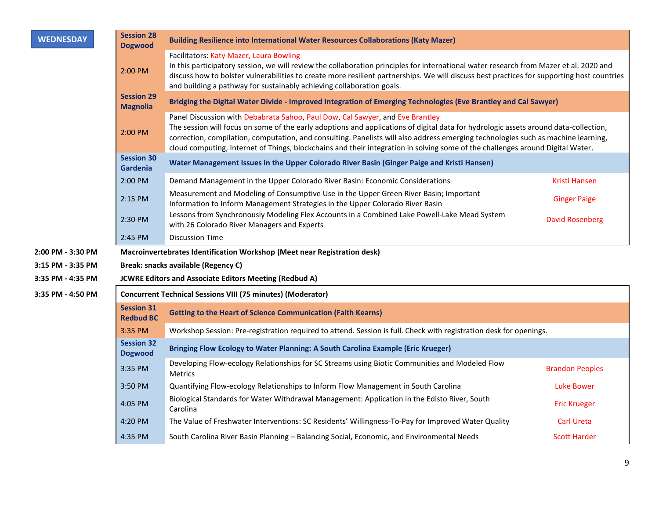| <b>WEDNESDAY</b>                                                                                                            | <b>Session 28</b><br><b>Dogwood</b>   | <b>Building Resilience into International Water Resources Collaborations (Katy Mazer)</b>                                                                                                                                                                                                                                                                                                                                                                                                    |                        |  |
|-----------------------------------------------------------------------------------------------------------------------------|---------------------------------------|----------------------------------------------------------------------------------------------------------------------------------------------------------------------------------------------------------------------------------------------------------------------------------------------------------------------------------------------------------------------------------------------------------------------------------------------------------------------------------------------|------------------------|--|
|                                                                                                                             | 2:00 PM                               | Facilitators: Katy Mazer, Laura Bowling<br>In this participatory session, we will review the collaboration principles for international water research from Mazer et al. 2020 and<br>discuss how to bolster vulnerabilities to create more resilient partnerships. We will discuss best practices for supporting host countries<br>and building a pathway for sustainably achieving collaboration goals.                                                                                     |                        |  |
|                                                                                                                             | <b>Session 29</b><br><b>Magnolia</b>  | Bridging the Digital Water Divide - Improved Integration of Emerging Technologies (Eve Brantley and Cal Sawyer)                                                                                                                                                                                                                                                                                                                                                                              |                        |  |
|                                                                                                                             | 2:00 PM                               | Panel Discussion with Debabrata Sahoo, Paul Dow, Cal Sawyer, and Eve Brantley<br>The session will focus on some of the early adoptions and applications of digital data for hydrologic assets around data-collection,<br>correction, compilation, computation, and consulting. Panelists will also address emerging technologies such as machine learning,<br>cloud computing, Internet of Things, blockchains and their integration in solving some of the challenges around Digital Water. |                        |  |
| <b>Session 30</b><br>Water Management Issues in the Upper Colorado River Basin (Ginger Paige and Kristi Hansen)<br>Gardenia |                                       |                                                                                                                                                                                                                                                                                                                                                                                                                                                                                              |                        |  |
|                                                                                                                             | 2:00 PM                               | Demand Management in the Upper Colorado River Basin: Economic Considerations                                                                                                                                                                                                                                                                                                                                                                                                                 | Kristi Hansen          |  |
|                                                                                                                             | 2:15 PM                               | Measurement and Modeling of Consumptive Use in the Upper Green River Basin; Important<br>Information to Inform Management Strategies in the Upper Colorado River Basin                                                                                                                                                                                                                                                                                                                       | <b>Ginger Paige</b>    |  |
|                                                                                                                             | 2:30 PM                               | Lessons from Synchronously Modeling Flex Accounts in a Combined Lake Powell-Lake Mead System<br>with 26 Colorado River Managers and Experts                                                                                                                                                                                                                                                                                                                                                  | <b>David Rosenberg</b> |  |
|                                                                                                                             | 2:45 PM                               | <b>Discussion Time</b>                                                                                                                                                                                                                                                                                                                                                                                                                                                                       |                        |  |
| 2:00 PM - 3:30 PM                                                                                                           |                                       | Macroinvertebrates Identification Workshop (Meet near Registration desk)                                                                                                                                                                                                                                                                                                                                                                                                                     |                        |  |
| 3:15 PM - 3:35 PM                                                                                                           |                                       | Break: snacks available (Regency C)                                                                                                                                                                                                                                                                                                                                                                                                                                                          |                        |  |
| 3:35 PM - 4:35 PM                                                                                                           |                                       | <b>JCWRE Editors and Associate Editors Meeting (Redbud A)</b>                                                                                                                                                                                                                                                                                                                                                                                                                                |                        |  |
| 3:35 PM - 4:50 PM                                                                                                           |                                       | <b>Concurrent Technical Sessions VIII (75 minutes) (Moderator)</b>                                                                                                                                                                                                                                                                                                                                                                                                                           |                        |  |
|                                                                                                                             | <b>Session 31</b><br><b>Redbud BC</b> | <b>Getting to the Heart of Science Communication (Faith Kearns)</b>                                                                                                                                                                                                                                                                                                                                                                                                                          |                        |  |
|                                                                                                                             | 3:35 PM                               | Workshop Session: Pre-registration required to attend. Session is full. Check with registration desk for openings.                                                                                                                                                                                                                                                                                                                                                                           |                        |  |
|                                                                                                                             | <b>Session 32</b><br><b>Dogwood</b>   | Bringing Flow Ecology to Water Planning: A South Carolina Example (Eric Krueger)                                                                                                                                                                                                                                                                                                                                                                                                             |                        |  |
|                                                                                                                             | 3:35 PM                               | Developing Flow-ecology Relationships for SC Streams using Biotic Communities and Modeled Flow<br><b>Metrics</b>                                                                                                                                                                                                                                                                                                                                                                             | <b>Brandon Peoples</b> |  |
|                                                                                                                             | 3:50 PM                               | Quantifying Flow-ecology Relationships to Inform Flow Management in South Carolina                                                                                                                                                                                                                                                                                                                                                                                                           | <b>Luke Bower</b>      |  |
|                                                                                                                             | 4:05 PM                               | Biological Standards for Water Withdrawal Management: Application in the Edisto River, South<br>Carolina                                                                                                                                                                                                                                                                                                                                                                                     | <b>Eric Krueger</b>    |  |
|                                                                                                                             | 4:20 PM                               | The Value of Freshwater Interventions: SC Residents' Willingness-To-Pay for Improved Water Quality                                                                                                                                                                                                                                                                                                                                                                                           | <b>Carl Ureta</b>      |  |
|                                                                                                                             | 4:35 PM                               | South Carolina River Basin Planning - Balancing Social, Economic, and Environmental Needs                                                                                                                                                                                                                                                                                                                                                                                                    | <b>Scott Harder</b>    |  |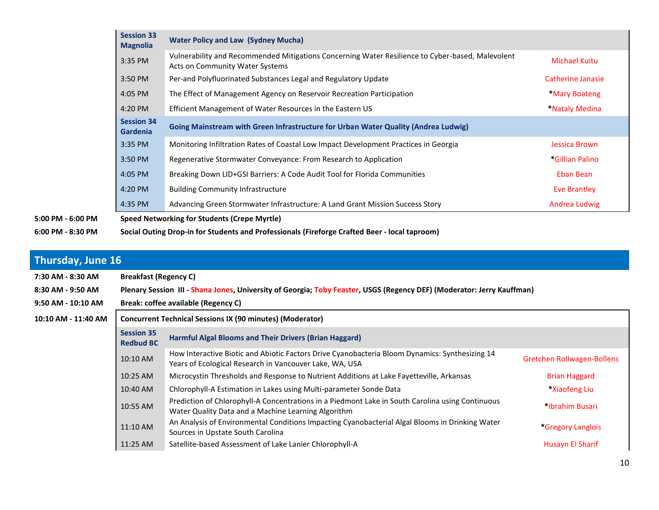|                   | <b>Session 33</b><br><b>Magnolia</b> | <b>Water Policy and Law (Sydney Mucha)</b>                                                                                          |                      |
|-------------------|--------------------------------------|-------------------------------------------------------------------------------------------------------------------------------------|----------------------|
|                   | 3:35 PM                              | Vulnerability and Recommended Mitigations Concerning Water Resilience to Cyber-based, Malevolent<br>Acts on Community Water Systems | <b>Michael Kuitu</b> |
|                   | 3:50 PM                              | Per-and Polyfluorinated Substances Legal and Regulatory Update                                                                      | Catherine Janasie    |
|                   | 4:05 PM                              | The Effect of Management Agency on Reservoir Recreation Participation                                                               | *Mary Boateng        |
|                   | 4:20 PM                              | Efficient Management of Water Resources in the Eastern US                                                                           | *Nataly Medina       |
|                   | <b>Session 34</b><br><b>Gardenia</b> | Going Mainstream with Green Infrastructure for Urban Water Quality (Andrea Ludwig)                                                  |                      |
|                   | 3:35 PM                              | Monitoring Infiltration Rates of Coastal Low Impact Development Practices in Georgia                                                | Jessica Brown        |
|                   | 3:50 PM                              | Regenerative Stormwater Conveyance: From Research to Application                                                                    | *Gillian Palino      |
|                   | 4:05 PM                              | Breaking Down LID+GSI Barriers: A Code Audit Tool for Florida Communities                                                           | Eban Bean            |
|                   | 4:20 PM                              | <b>Building Community Infrastructure</b>                                                                                            | Eve Brantley         |
|                   | 4:35 PM                              | Advancing Green Stormwater Infrastructure: A Land Grant Mission Success Story                                                       | Andrea Ludwig        |
| 5:00 PM - 6:00 PM |                                      | Speed Networking for Students (Crepe Myrtle)                                                                                        |                      |
| 6:00 PM - 8:30 PM |                                      | Social Outing Drop-in for Students and Professionals (Fireforge Crafted Beer - local taproom)                                       |                      |

## **Thursday, June 16**

| 7:30 AM - 8:30 AM   | <b>Breakfast (Regency C)</b>                                                                                           |                                                                                                                                                           |                                   |  |  |
|---------------------|------------------------------------------------------------------------------------------------------------------------|-----------------------------------------------------------------------------------------------------------------------------------------------------------|-----------------------------------|--|--|
| 8:30 AM - 9:50 AM   | Plenary Session III - Shana Jones, University of Georgia; Toby Feaster, USGS (Regency DEF) (Moderator: Jerry Kauffman) |                                                                                                                                                           |                                   |  |  |
| 9:50 AM - 10:10 AM  | Break: coffee available (Regency C)                                                                                    |                                                                                                                                                           |                                   |  |  |
| 10:10 AM - 11:40 AM | <b>Concurrent Technical Sessions IX (90 minutes) (Moderator)</b>                                                       |                                                                                                                                                           |                                   |  |  |
|                     | <b>Session 35</b><br><b>Redbud BC</b>                                                                                  | <b>Harmful Algal Blooms and Their Drivers (Brian Haggard)</b>                                                                                             |                                   |  |  |
|                     | 10:10 AM                                                                                                               | How Interactive Biotic and Abiotic Factors Drive Cyanobacteria Bloom Dynamics: Synthesizing 14<br>Years of Ecological Research in Vancouver Lake, WA, USA | <b>Gretchen Rollwagen-Bollens</b> |  |  |
|                     | $10:25$ AM                                                                                                             | Microcystin Thresholds and Response to Nutrient Additions at Lake Fayetteville, Arkansas                                                                  | <b>Brian Haggard</b>              |  |  |
|                     | 10:40 AM                                                                                                               | Chlorophyll-A Estimation in Lakes using Multi-parameter Sonde Data                                                                                        | *Xiaofeng Liu                     |  |  |
|                     | 10:55 AM                                                                                                               | Prediction of Chlorophyll-A Concentrations in a Piedmont Lake in South Carolina using Continuous<br>Water Quality Data and a Machine Learning Algorithm   | *Ibrahim Busari                   |  |  |
|                     | 11:10 AM                                                                                                               | An Analysis of Environmental Conditions Impacting Cyanobacterial Algal Blooms in Drinking Water<br>Sources in Upstate South Carolina                      | *Gregory Langlois                 |  |  |
|                     | 11:25 AM                                                                                                               | Satellite-based Assessment of Lake Lanier Chlorophyll-A                                                                                                   | Husayn El Sharif                  |  |  |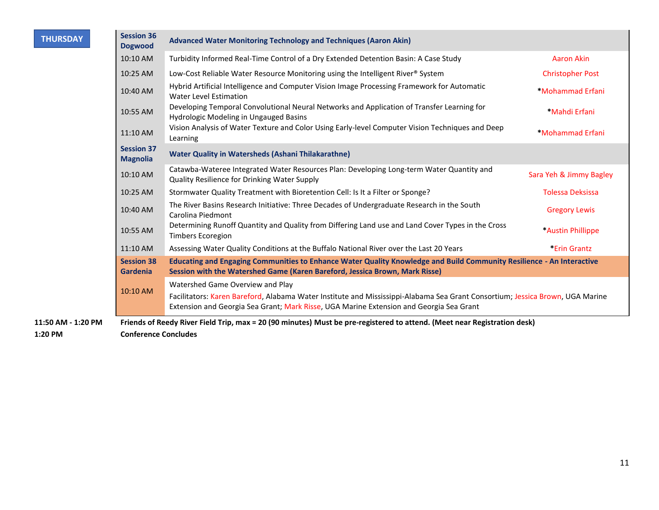| <b>THURSDAY</b>    | <b>Session 36</b><br><b>Dogwood</b>                                                                                                                                                                                      | <b>Advanced Water Monitoring Technology and Techniques (Aaron Akin)</b>                                                                                                                              |                         |  |
|--------------------|--------------------------------------------------------------------------------------------------------------------------------------------------------------------------------------------------------------------------|------------------------------------------------------------------------------------------------------------------------------------------------------------------------------------------------------|-------------------------|--|
|                    | 10:10 AM                                                                                                                                                                                                                 | Turbidity Informed Real-Time Control of a Dry Extended Detention Basin: A Case Study                                                                                                                 | <b>Aaron Akin</b>       |  |
|                    | 10:25 AM                                                                                                                                                                                                                 | Low-Cost Reliable Water Resource Monitoring using the Intelligent River® System                                                                                                                      | <b>Christopher Post</b> |  |
|                    | 10:40 AM                                                                                                                                                                                                                 | Hybrid Artificial Intelligence and Computer Vision Image Processing Framework for Automatic<br><b>Water Level Estimation</b>                                                                         | *Mohammad Erfani        |  |
|                    | 10:55 AM                                                                                                                                                                                                                 | Developing Temporal Convolutional Neural Networks and Application of Transfer Learning for<br>Hydrologic Modeling in Ungauged Basins                                                                 | *Mahdi Erfani           |  |
|                    | 11:10 AM                                                                                                                                                                                                                 | Vision Analysis of Water Texture and Color Using Early-level Computer Vision Techniques and Deep<br>Learning                                                                                         | *Mohammad Erfani        |  |
|                    | <b>Session 37</b><br><b>Magnolia</b>                                                                                                                                                                                     | <b>Water Quality in Watersheds (Ashani Thilakarathne)</b>                                                                                                                                            |                         |  |
|                    | 10:10 AM                                                                                                                                                                                                                 | Catawba-Wateree Integrated Water Resources Plan: Developing Long-term Water Quantity and<br>Quality Resilience for Drinking Water Supply                                                             | Sara Yeh & Jimmy Bagley |  |
|                    | 10:25 AM                                                                                                                                                                                                                 | Stormwater Quality Treatment with Bioretention Cell: Is It a Filter or Sponge?                                                                                                                       | <b>Tolessa Deksissa</b> |  |
|                    | 10:40 AM                                                                                                                                                                                                                 | The River Basins Research Initiative: Three Decades of Undergraduate Research in the South<br>Carolina Piedmont                                                                                      | <b>Gregory Lewis</b>    |  |
|                    | 10:55 AM                                                                                                                                                                                                                 | Determining Runoff Quantity and Quality from Differing Land use and Land Cover Types in the Cross<br><b>Timbers Ecoregion</b>                                                                        | *Austin Phillippe       |  |
|                    | 11:10 AM                                                                                                                                                                                                                 | Assessing Water Quality Conditions at the Buffalo National River over the Last 20 Years                                                                                                              | *Erin Grantz            |  |
|                    | <b>Session 38</b><br><b>Gardenia</b>                                                                                                                                                                                     | Educating and Engaging Communities to Enhance Water Quality Knowledge and Build Community Resilience - An Interactive<br>Session with the Watershed Game (Karen Bareford, Jessica Brown, Mark Risse) |                         |  |
|                    |                                                                                                                                                                                                                          | Watershed Game Overview and Play                                                                                                                                                                     |                         |  |
| 10:10 AM           | Facilitators: Karen Bareford, Alabama Water Institute and Mississippi-Alabama Sea Grant Consortium; Jessica Brown, UGA Marine<br>Extension and Georgia Sea Grant; Mark Risse, UGA Marine Extension and Georgia Sea Grant |                                                                                                                                                                                                      |                         |  |
| 11:50 AM - 1:20 PM |                                                                                                                                                                                                                          | Friends of Reedy River Field Trip, max = 20 (90 minutes) Must be pre-registered to attend. (Meet near Registration desk)                                                                             |                         |  |
| 1:20 PM            | <b>Conference Concludes</b>                                                                                                                                                                                              |                                                                                                                                                                                                      |                         |  |